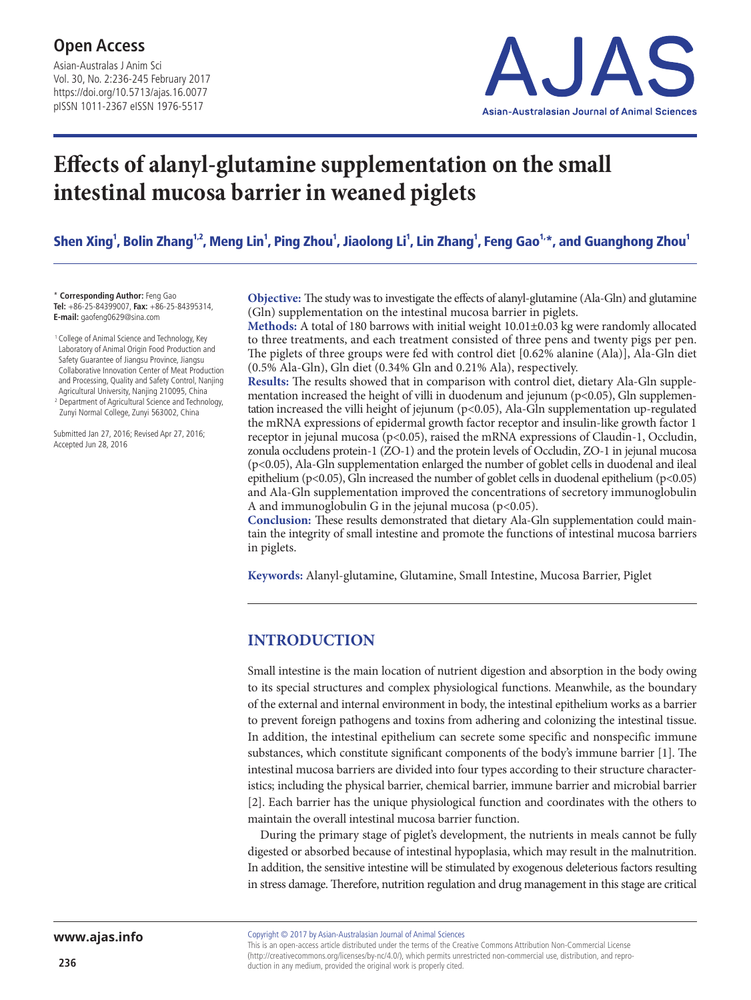Asian-Australas J Anim Sci Vol. 30, No. 2:236-245 February 2017 https://doi.org/10.5713/ajas.16.0077 pISSN 1011-2367 eISSN 1976-5517



# **Effects of alanyl-glutamine supplementation on the small intestinal mucosa barrier in weaned piglets**

Shen Xing<sup>1</sup>, Bolin Zhang<sup>1,2</sup>, Meng Lin<sup>1</sup>, Ping Zhou<sup>1</sup>, Jiaolong Li<sup>1</sup>, Lin Zhang<sup>1</sup>, Feng Gao<sup>1,</sup>\*, and Guanghong Zhou<sup>1</sup>

\* **Corresponding Author:** Feng Gao **Tel:** +86-25-84399007, **Fax:** +86-25-84395314, **E-mail:** gaofeng0629@sina.com

<sup>1</sup> College of Animal Science and Technology, Key Laboratory of Animal Origin Food Production and Safety Guarantee of Jiangsu Province, Jiangsu Collaborative Innovation Center of Meat Production and Processing, Quality and Safety Control, Nanjing Agricultural University, Nanjing 210095, China <sup>2</sup> Department of Agricultural Science and Technology,

Zunyi Normal College, Zunyi 563002, China

Submitted Jan 27, 2016; Revised Apr 27, 2016; Accepted Jun 28, 2016

**Objective:** The study was to investigate the effects of alanyl-glutamine (Ala-Gln) and glutamine (Gln) supplementation on the intestinal mucosa barrier in piglets.

**Methods:** A total of 180 barrows with initial weight 10.01±0.03 kg were randomly allocated to three treatments, and each treatment consisted of three pens and twenty pigs per pen. The piglets of three groups were fed with control diet [0.62% alanine (Ala)], Ala-Gln diet (0.5% Ala-Gln), Gln diet (0.34% Gln and 0.21% Ala), respectively.

**Results:** The results showed that in comparison with control diet, dietary Ala-Gln supplementation increased the height of villi in duodenum and jejunum (p<0.05), Gln supplementation increased the villi height of jejunum ( $p<0.05$ ), Ala-Gln supplementation up-regulated the mRNA expressions of epidermal growth factor receptor and insulin-like growth factor 1 receptor in jejunal mucosa (p<0.05), raised the mRNA expressions of Claudin-1, Occludin, zonula occludens protein-1 (ZO-1) and the protein levels of Occludin, ZO-1 in jejunal mucosa (p<0.05), Ala-Gln supplementation enlarged the number of goblet cells in duodenal and ileal epithelium (p<0.05), Gln increased the number of goblet cells in duodenal epithelium (p<0.05) and Ala-Gln supplementation improved the concentrations of secretory immunoglobulin A and immunoglobulin G in the jejunal mucosa ( $p<0.05$ ).

**Conclusion:** These results demonstrated that dietary Ala-Gln supplementation could maintain the integrity of small intestine and promote the functions of intestinal mucosa barriers in piglets.

**Keywords:** Alanyl-glutamine, Glutamine, Small Intestine, Mucosa Barrier, Piglet

## **INTRODUCTION**

Small intestine is the main location of nutrient digestion and absorption in the body owing to its special structures and complex physiological functions. Meanwhile, as the boundary of the external and internal environment in body, the intestinal epithelium works as a barrier to prevent foreign pathogens and toxins from adhering and colonizing the intestinal tissue. In addition, the intestinal epithelium can secrete some specific and nonspecific immune substances, which constitute significant components of the body's immune barrier [1]. The intestinal mucosa barriers are divided into four types according to their structure characteristics; including the physical barrier, chemical barrier, immune barrier and microbial barrier [2]. Each barrier has the unique physiological function and coordinates with the others to maintain the overall intestinal mucosa barrier function.

During the primary stage of piglet's development, the nutrients in meals cannot be fully digested or absorbed because of intestinal hypoplasia, which may result in the malnutrition. In addition, the sensitive intestine will be stimulated by exogenous deleterious factors resulting in stress damage. Therefore, nutrition regulation and drug management in this stage are critical

Copyright © 2017 by Asian-Australasian Journal of Animal Sciences

This is an open-access article distributed under the terms of the Creative Commons Attribution Non-Commercial License (http://creativecommons.org/licenses/by-nc/4.0/), which permits unrestricted non-commercial use, distribution, and reproduction in any medium, provided the original work is properly cited.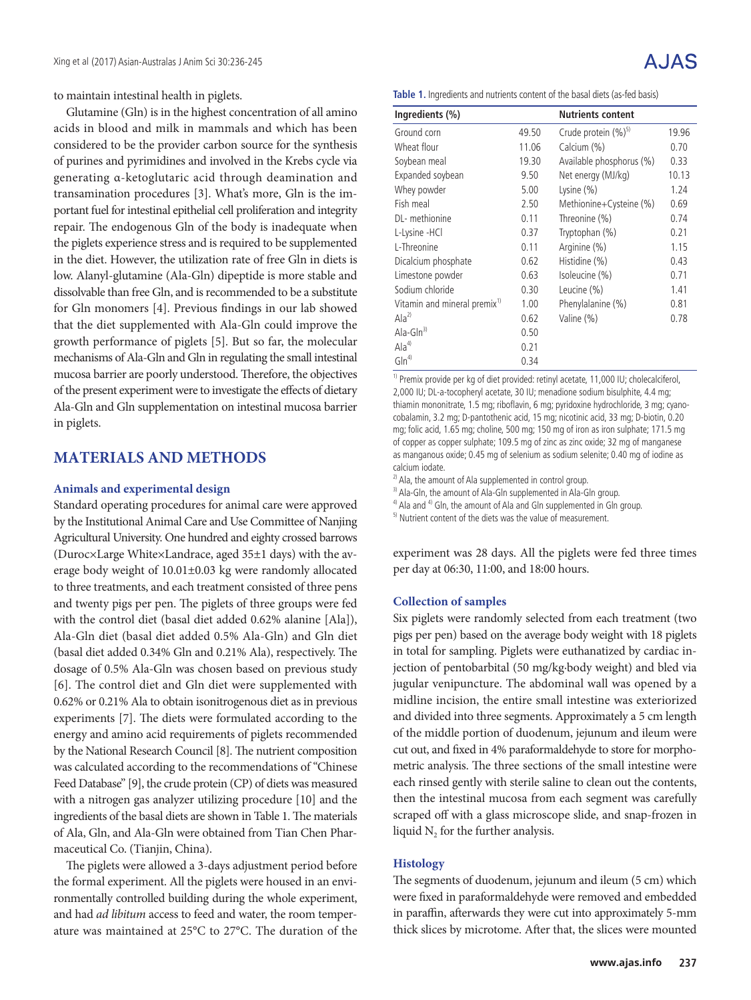to maintain intestinal health in piglets.

Glutamine (Gln) is in the highest concentration of all amino acids in blood and milk in mammals and which has been considered to be the provider carbon source for the synthesis of purines and pyrimidines and involved in the Krebs cycle via generating α-ketoglutaric acid through deamination and transamination procedures [3]. What's more, Gln is the important fuel for intestinal epithelial cell proliferation and integrity repair. The endogenous Gln of the body is inadequate when the piglets experience stress and is required to be supplemented in the diet. However, the utilization rate of free Gln in diets is low. Alanyl-glutamine (Ala-Gln) dipeptide is more stable and dissolvable than free Gln, and is recommended to be a substitute for Gln monomers [4]. Previous findings in our lab showed that the diet supplemented with Ala-Gln could improve the growth performance of piglets [5]. But so far, the molecular mechanisms of Ala-Gln and Gln in regulating the small intestinal mucosa barrier are poorly understood. Therefore, the objectives of the present experiment were to investigate the effects of dietary Ala-Gln and Gln supplementation on intestinal mucosa barrier in piglets.

## **MATERIALS AND METHODS**

#### **Animals and experimental design**

Standard operating procedures for animal care were approved by the Institutional Animal Care and Use Committee of Nanjing Agricultural University. One hundred and eighty crossed barrows (Duroc×Large White×Landrace, aged 35±1 days) with the average body weight of 10.01±0.03 kg were randomly allocated to three treatments, and each treatment consisted of three pens and twenty pigs per pen. The piglets of three groups were fed with the control diet (basal diet added 0.62% alanine [Ala]), Ala-Gln diet (basal diet added 0.5% Ala-Gln) and Gln diet (basal diet added 0.34% Gln and 0.21% Ala), respectively. The dosage of 0.5% Ala-Gln was chosen based on previous study [6]. The control diet and Gln diet were supplemented with 0.62% or 0.21% Ala to obtain isonitrogenous diet as in previous experiments [7]. The diets were formulated according to the energy and amino acid requirements of piglets recommended by the National Research Council [8]. The nutrient composition was calculated according to the recommendations of "Chinese Feed Database" [9], the crude protein (CP) of diets was measured with a nitrogen gas analyzer utilizing procedure [10] and the ingredients of the basal diets are shown in Table 1. The materials of Ala, Gln, and Ala-Gln were obtained from Tian Chen Pharmaceutical Co. (Tianjin, China).

The piglets were allowed a 3-days adjustment period before the formal experiment. All the piglets were housed in an environmentally controlled building during the whole experiment, and had *ad libitum* access to feed and water, the room temperature was maintained at 25°C to 27°C. The duration of the **Table 1.** Ingredients and nutrients content of the basal diets (as-fed basis)

| Ingredients (%)                          |       | <b>Nutrients content</b>        |       |
|------------------------------------------|-------|---------------------------------|-------|
| Ground corn                              | 49.50 | Crude protein (%) <sup>5)</sup> | 19.96 |
| Wheat flour                              | 11.06 | Calcium (%)                     | 0.70  |
| Soybean meal                             | 19.30 | Available phosphorus (%)        | 0.33  |
| Expanded soybean                         | 9.50  | Net energy (MJ/kg)              | 10.13 |
| Whey powder                              | 5.00  | Lysine $(\%)$                   | 1.24  |
| Fish meal                                | 2.50  | Methionine+Cysteine (%)         | 0.69  |
| DL- methionine                           | 0.11  | Threonine (%)                   | 0.74  |
| L-Lysine -HCl                            | 0.37  | Tryptophan (%)                  | 0.21  |
| L-Threonine                              | 0.11  | Arginine (%)                    | 1.15  |
| Dicalcium phosphate                      | 0.62  | Histidine (%)                   | 0.43  |
| Limestone powder                         | 0.63  | Isoleucine (%)                  | 0.71  |
| Sodium chloride                          | 0.30  | Leucine (%)                     | 1.41  |
| Vitamin and mineral premix <sup>1)</sup> | 1.00  | Phenylalanine (%)               | 0.81  |
| Ala <sup>2</sup>                         | 0.62  | Valine (%)                      | 0.78  |
| Ala-Gln $^{3)}$                          | 0.50  |                                 |       |
| Ala <sup>4</sup>                         | 0.21  |                                 |       |
| $G\ln^{4}$                               | 0.34  |                                 |       |

<sup>1)</sup> Premix provide per kg of diet provided: retinyl acetate, 11,000 IU; cholecalciferol, 2,000 IU; DL-a-tocopheryl acetate, 30 IU; menadione sodium bisulphite, 4.4 mg; thiamin mononitrate, 1.5 mg; riboflavin, 6 mg; pyridoxine hydrochloride, 3 mg; cyanocobalamin, 3.2 mg; D-pantothenic acid, 15 mg; nicotinic acid, 33 mg; D-biotin, 0.20 mg; folic acid, 1.65 mg; choline, 500 mg; 150 mg of iron as iron sulphate; 171.5 mg of copper as copper sulphate; 109.5 mg of zinc as zinc oxide; 32 mg of manganese as manganous oxide; 0.45 mg of selenium as sodium selenite; 0.40 mg of iodine as calcium iodate.

 $^{2)}$  Ala, the amount of Ala supplemented in control group.

<sup>3)</sup> Ala-Gln, the amount of Ala-Gln supplemented in Ala-Gln group.

 $4)$  Ala and  $4)$  Gln, the amount of Ala and Gln supplemented in Gln group.

<sup>5)</sup> Nutrient content of the diets was the value of measurement.

experiment was 28 days. All the piglets were fed three times per day at 06:30, 11:00, and 18:00 hours.

#### **Collection of samples**

Six piglets were randomly selected from each treatment (two pigs per pen) based on the average body weight with 18 piglets in total for sampling. Piglets were euthanatized by cardiac injection of pentobarbital (50 mg/kg·body weight) and bled via jugular venipuncture. The abdominal wall was opened by a midline incision, the entire small intestine was exteriorized and divided into three segments. Approximately a 5 cm length of the middle portion of duodenum, jejunum and ileum were cut out, and fixed in 4% paraformaldehyde to store for morphometric analysis. The three sections of the small intestine were each rinsed gently with sterile saline to clean out the contents, then the intestinal mucosa from each segment was carefully scraped off with a glass microscope slide, and snap-frozen in liquid  $N_2$  for the further analysis.

#### **Histology**

The segments of duodenum, jejunum and ileum (5 cm) which were fixed in paraformaldehyde were removed and embedded in paraffin, afterwards they were cut into approximately 5-mm thick slices by microtome. After that, the slices were mounted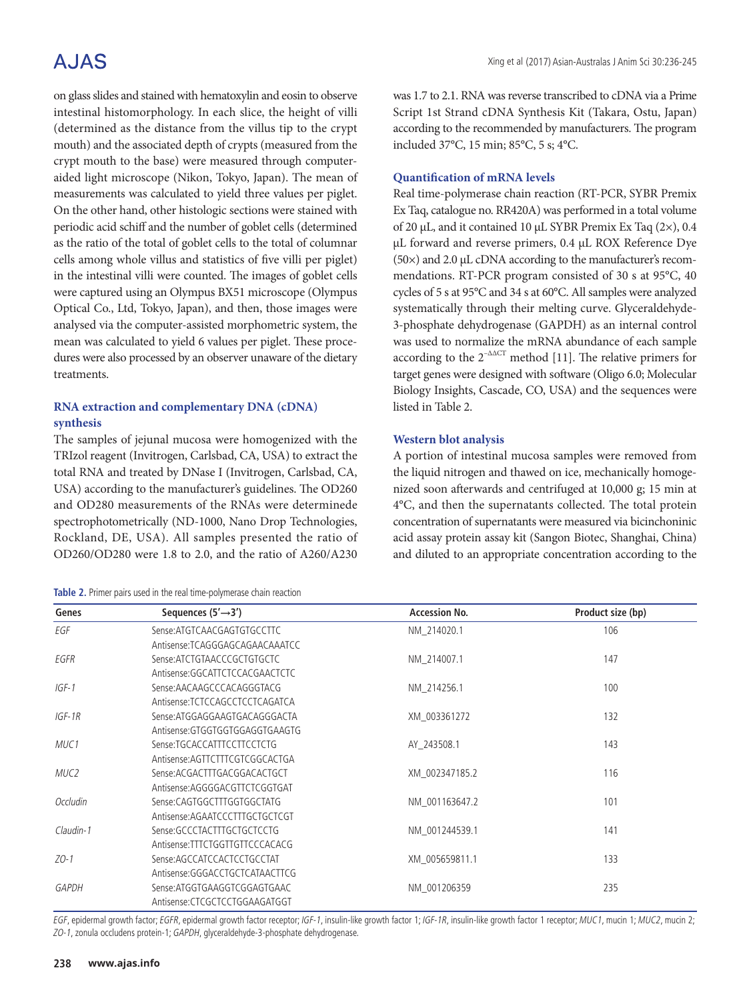# A.JAS

on glass slides and stained with hematoxylin and eosin to observe intestinal histomorphology. In each slice, the height of villi (determined as the distance from the villus tip to the crypt mouth) and the associated depth of crypts (measured from the crypt mouth to the base) were measured through computeraided light microscope (Nikon, Tokyo, Japan). The mean of measurements was calculated to yield three values per piglet. On the other hand, other histologic sections were stained with periodic acid schiff and the number of goblet cells (determined as the ratio of the total of goblet cells to the total of columnar cells among whole villus and statistics of five villi per piglet) in the intestinal villi were counted. The images of goblet cells were captured using an Olympus BX51 microscope (Olympus Optical Co., Ltd, Tokyo, Japan), and then, those images were analysed via the computer-assisted morphometric system, the mean was calculated to yield 6 values per piglet. These procedures were also processed by an observer unaware of the dietary treatments.

## **RNA extraction and complementary DNA (cDNA) synthesis**

The samples of jejunal mucosa were homogenized with the TRIzol reagent (Invitrogen, Carlsbad, CA, USA) to extract the total RNA and treated by DNase I (Invitrogen, Carlsbad, CA, USA) according to the manufacturer's guidelines. The OD260 and OD280 measurements of the RNAs were determinede spectrophotometrically (ND-1000, Nano Drop Technologies, Rockland, DE, USA). All samples presented the ratio of OD260/OD280 were 1.8 to 2.0, and the ratio of A260/A230

#### **Table 2.** Primer pairs used in the real time-polymerase chain reaction

was 1.7 to 2.1. RNA was reverse transcribed to cDNA via a Prime Script 1st Strand cDNA Synthesis Kit (Takara, Ostu, Japan) according to the recommended by manufacturers. The program included 37°C, 15 min; 85°C, 5 s; 4°C.

## **Quantification of mRNA levels**

Real time-polymerase chain reaction (RT-PCR, SYBR Premix Ex Taq, catalogue no. RR420A) was performed in a total volume of 20 μL, and it contained 10 μL SYBR Premix Ex Taq (2×), 0.4 μL forward and reverse primers, 0.4 μL ROX Reference Dye (50×) and 2.0 μL cDNA according to the manufacturer's recommendations. RT-PCR program consisted of 30 s at 95°C, 40 cycles of 5 s at 95°C and 34 s at 60°C. All samples were analyzed systematically through their melting curve. Glyceraldehyde-3-phosphate dehydrogenase (GAPDH) as an internal control was used to normalize the mRNA abundance of each sample according to the  $2^{-\Delta\Delta CT}$  method [11]. The relative primers for target genes were designed with software (Oligo 6.0; Molecular Biology Insights, Cascade, CO, USA) and the sequences were listed in Table 2.

### **Western blot analysis**

A portion of intestinal mucosa samples were removed from the liquid nitrogen and thawed on ice, mechanically homogenized soon afterwards and centrifuged at 10,000 g; 15 min at 4°C, and then the supernatants collected. The total protein concentration of supernatants were measured via bicinchoninic acid assay protein assay kit (Sangon Biotec, Shanghai, China) and diluted to an appropriate concentration according to the

| Genes            | Sequences $(5' \rightarrow 3')$ | <b>Accession No.</b> | Product size (bp) |
|------------------|---------------------------------|----------------------|-------------------|
| EGF              | Sense:ATGTCAACGAGTGTGCCTTC      | NM 214020.1          | 106               |
|                  | Antisense:TCAGGGAGCAGAACAAATCC  |                      |                   |
| EGFR             | Sense:ATCTGTAACCCGCTGTGCTC      | NM 214007.1          | 147               |
|                  | Antisense:GGCATTCTCCACGAACTCTC  |                      |                   |
| $IGF-1$          | Sense:AACAAGCCCACAGGGTACG       | NM_214256.1          | 100               |
|                  | Antisense:TCTCCAGCCTCCTCAGATCA  |                      |                   |
| $IGF-1R$         | Sense:ATGGAGGAAGTGACAGGGACTA    | XM 003361272         | 132               |
|                  | Antisense:GTGGTGGTGGAGGTGAAGTG  |                      |                   |
| MUC <sub>1</sub> | Sense:TGCACCATTTCCTTCCTCTG      | AY 243508.1          | 143               |
|                  | Antisense: AGTTCTTTCGTCGGCACTGA |                      |                   |
| MUC <sub>2</sub> | Sense:ACGACTTTGACGGACACTGCT     | XM 002347185.2       | 116               |
|                  | Antisense:AGGGGACGTTCTCGGTGAT   |                      |                   |
| Occludin         | Sense:CAGTGGCTTTGGTGGCTATG      | NM 001163647.2       | 101               |
|                  | Antisense:AGAATCCCTTTGCTGCTCGT  |                      |                   |
| Claudin-1        | Sense:GCCCTACTTTGCTGCTCCTG      | NM 001244539.1       | 141               |
|                  | Antisense:TTTCTGGTTGTTCCCACACG  |                      |                   |
| $ZO-1$           | Sense:AGCCATCCACTCCTGCCTAT      | XM 005659811.1       | 133               |
|                  | Antisense:GGGACCTGCTCATAACTTCG  |                      |                   |
| <b>GAPDH</b>     | Sense:ATGGTGAAGGTCGGAGTGAAC     | NM 001206359         | 235               |
|                  | Antisense:CTCGCTCCTGGAAGATGGT   |                      |                   |

EGF, epidermal growth factor; EGFR, epidermal growth factor receptor; IGF-1, insulin-like growth factor 1; IGF-1R, insulin-like growth factor 1 receptor; MUC1, mucin 1; MUC2, mucin 2; ZO-1, zonula occludens protein-1; GAPDH, glyceraldehyde-3-phosphate dehydrogenase.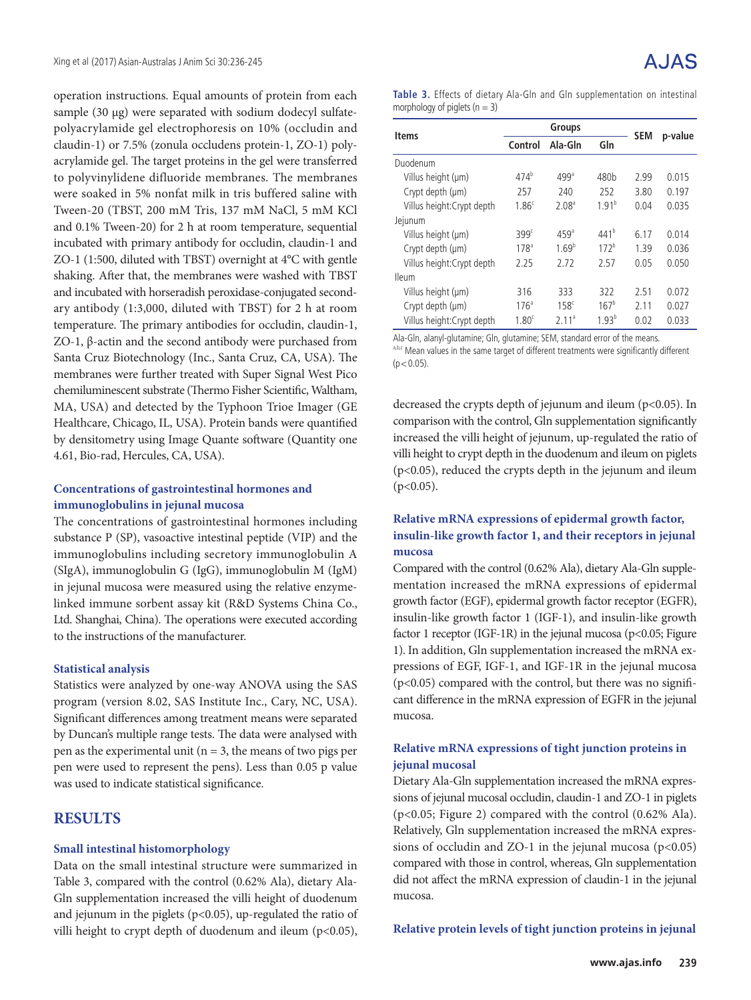operation instructions. Equal amounts of protein from each sample (30 μg) were separated with sodium dodecyl sulfatepolyacrylamide gel electrophoresis on 10% (occludin and claudin-1) or 7.5% (zonula occludens protein-1, ZO-1) polyacrylamide gel. The target proteins in the gel were transferred to polyvinylidene difluoride membranes. The membranes were soaked in 5% nonfat milk in tris buffered saline with Tween-20 (TBST, 200 mM Tris, 137 mM NaCl, 5 mM KCl and 0.1% Tween-20) for 2 h at room temperature, sequential incubated with primary antibody for occludin, claudin-1 and ZO-1 (1:500, diluted with TBST) overnight at 4°C with gentle shaking. After that, the membranes were washed with TBST and incubated with horseradish peroxidase-conjugated secondary antibody (1:3,000, diluted with TBST) for 2 h at room temperature. The primary antibodies for occludin, claudin-1, ZO-1, β-actin and the second antibody were purchased from Santa Cruz Biotechnology (Inc., Santa Cruz, CA, USA). The membranes were further treated with Super Signal West Pico chemiluminescent substrate (Thermo Fisher Scientific, Waltham, MA, USA) and detected by the Typhoon Trioe Imager (GE Healthcare, Chicago, IL, USA). Protein bands were quantified by densitometry using Image Quante software (Quantity one 4.61, Bio-rad, Hercules, CA, USA).

### **Concentrations of gastrointestinal hormones and immunoglobulins in jejunal mucosa**

The concentrations of gastrointestinal hormones including substance P (SP), vasoactive intestinal peptide (VIP) and the immunoglobulins including secretory immunoglobulin A (SIgA), immunoglobulin G (IgG), immunoglobulin M (IgM) in jejunal mucosa were measured using the relative enzymelinked immune sorbent assay kit (R&D Systems China Co., Ltd. Shanghai, China). The operations were executed according to the instructions of the manufacturer.

#### **Statistical analysis**

Statistics were analyzed by one-way ANOVA using the SAS program (version 8.02, SAS Institute Inc., Cary, NC, USA). Significant differences among treatment means were separated by Duncan's multiple range tests. The data were analysed with pen as the experimental unit ( $n = 3$ , the means of two pigs per pen were used to represent the pens). Less than 0.05 p value was used to indicate statistical significance.

## **RESULTS**

#### **Small intestinal histomorphology**

Data on the small intestinal structure were summarized in Table 3, compared with the control (0.62% Ala), dietary Ala-Gln supplementation increased the villi height of duodenum and jejunum in the piglets ( $p$ <0.05), up-regulated the ratio of villi height to crypt depth of duodenum and ileum (p<0.05), **Table 3.** Effects of dietary Ala-Gln and Gln supplementation on intestinal morphology of piglets ( $n = 3$ )

| <b>Items</b>               | <b>Groups</b>     |                   |                  | <b>SEM</b> | p-value |
|----------------------------|-------------------|-------------------|------------------|------------|---------|
|                            | Control           | Ala-Gin           | Gln              |            |         |
| Duodenum                   |                   |                   |                  |            |         |
| Villus height (µm)         | 474 <sup>b</sup>  | 499 <sup>a</sup>  | 480 <sub>b</sub> | 2.99       | 0.015   |
| Crypt depth (µm)           | 257               | 240               | 252              | 3.80       | 0.197   |
| Villus height: Crypt depth | 1.86 <sup>c</sup> | 2.08 <sup>a</sup> | $1.91^{b}$       | 0.04       | 0.035   |
| Jejunum                    |                   |                   |                  |            |         |
| Villus height (µm)         | 399 <sup>c</sup>  | 459 <sup>a</sup>  | $441^{b}$        | 6.17       | 0.014   |
| Crypt depth (µm)           | 178 <sup>a</sup>  | $1.69^{b}$        | $172^b$          | 1.39       | 0.036   |
| Villus height: Crypt depth | 2.25              | 2.72              | 2.57             | 0.05       | 0.050   |
| <b>Ileum</b>               |                   |                   |                  |            |         |
| Villus height (µm)         | 316               | 333               | 322              | 2.51       | 0.072   |
| Crypt depth (µm)           | 176 <sup>a</sup>  | 158 <sup>c</sup>  | $167^b$          | 2.11       | 0.027   |
| Villus height: Crypt depth | 1.80 <sup>c</sup> | 2.11 <sup>a</sup> | $1.93^{b}$       | 0.02       | 0.033   |

Ala-Gln, alanyl-glutamine; Gln, glutamine; SEM, standard error of the means.

a,b,c Mean values in the same target of different treatments were significantly different  $(p < 0.05)$ .

decreased the crypts depth of jejunum and ileum (p<0.05). In comparison with the control, Gln supplementation significantly increased the villi height of jejunum, up-regulated the ratio of villi height to crypt depth in the duodenum and ileum on piglets (p<0.05), reduced the crypts depth in the jejunum and ileum  $(p<0.05)$ .

### **Relative mRNA expressions of epidermal growth factor, insulin-like growth factor 1, and their receptors in jejunal mucosa**

Compared with the control (0.62% Ala), dietary Ala-Gln supplementation increased the mRNA expressions of epidermal growth factor (EGF), epidermal growth factor receptor (EGFR), insulin-like growth factor 1 (IGF-1), and insulin-like growth factor 1 receptor (IGF-1R) in the jejunal mucosa (p<0.05; Figure 1). In addition, Gln supplementation increased the mRNA expressions of EGF, IGF-1, and IGF-1R in the jejunal mucosa  $(p<0.05)$  compared with the control, but there was no significant difference in the mRNA expression of EGFR in the jejunal mucosa.

### **Relative mRNA expressions of tight junction proteins in jejunal mucosal**

Dietary Ala-Gln supplementation increased the mRNA expressions of jejunal mucosal occludin, claudin-1 and ZO-1 in piglets (p<0.05; Figure 2) compared with the control (0.62% Ala). Relatively, Gln supplementation increased the mRNA expressions of occludin and ZO-1 in the jejunal mucosa  $(p<0.05)$ compared with those in control, whereas, Gln supplementation did not affect the mRNA expression of claudin-1 in the jejunal mucosa.

**Relative protein levels of tight junction proteins in jejunal**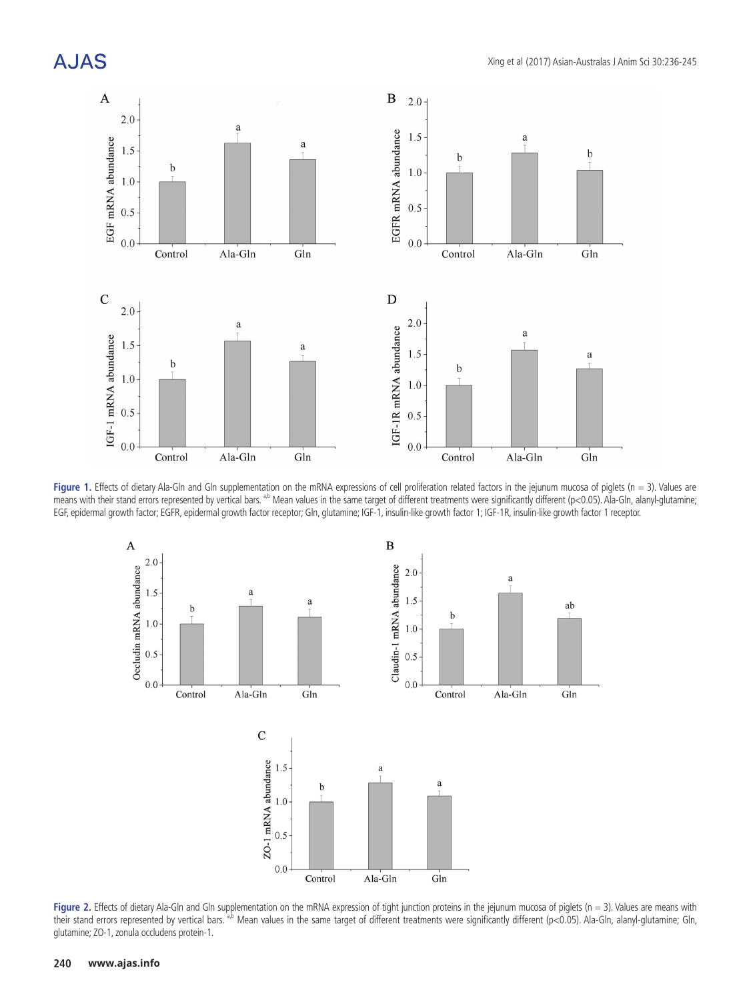# **AJAS**



**Figure 1.** Effects of dietary Ala-Gln and Gln supplementation on the mRNA expressions of cell proliferation related factors in the jejunum mucosa of piglets (n = 3). Values are means with their stand errors represented by vertical bars. <sup>a,b</sup> Mean values in the same target of different treatments were significantly different (p<0.05). Ala-Gln, alanyl-glutamine; EGF, epidermal growth factor; EGFR, epidermal growth factor receptor; Gln, glutamine; IGF-1, insulin-like growth factor 1; IGF-1R, insulin-like growth factor 1 receptor.



**Figure 2.** Effects of dietary Ala-Gln and Gln supplementation on the mRNA expression of tight junction proteins in the jejunum mucosa of piglets (n = 3). Values are means with their stand errors represented by vertical bars. <sup>a,b</sup> Mean values in the same target of different treatments were significantly different (p<0.05). Ala-Gln, alanyl-glutamine; Gln, glutamine; ZO-1, zonula occludens protein-1.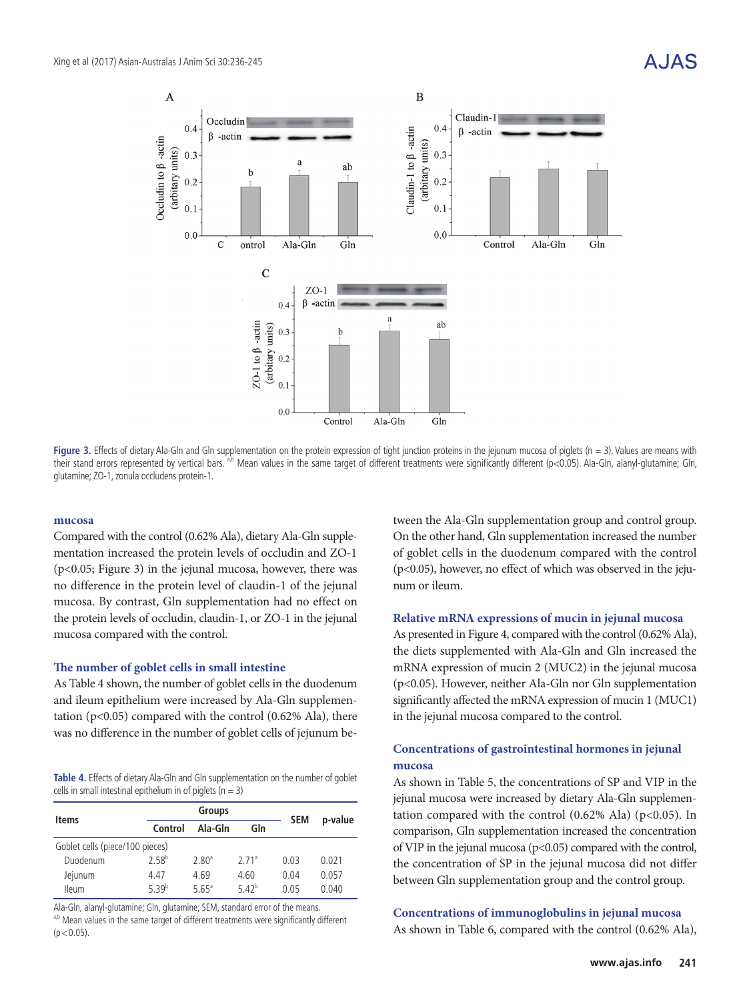

**Figure 3.** Effects of dietary Ala-Gln and Gln supplementation on the protein expression of tight junction proteins in the jejunum mucosa of piglets (n = 3). Values are means with their stand errors represented by vertical bars.<sup>a,b</sup> Mean values in the same target of different treatments were significantly different (p<0.05). Ala-Gln, alanyl-glutamine; Gln, glutamine; ZO-1, zonula occludens protein-1.

#### **mucosa**

Compared with the control (0.62% Ala), dietary Ala-Gln supplementation increased the protein levels of occludin and ZO-1 (p<0.05; Figure 3) in the jejunal mucosa, however, there was no difference in the protein level of claudin-1 of the jejunal mucosa. By contrast, Gln supplementation had no effect on the protein levels of occludin, claudin-1, or ZO-1 in the jejunal mucosa compared with the control.

#### **The number of goblet cells in small intestine**

As Table 4 shown, the number of goblet cells in the duodenum and ileum epithelium were increased by Ala-Gln supplementation ( $p$ <0.05) compared with the control (0.62% Ala), there was no difference in the number of goblet cells of jejunum be-

**Table 4.** Effects of dietary Ala-Gln and Gln supplementation on the number of goblet cells in small intestinal epithelium in of piglets ( $n = 3$ )

| <b>Items</b>                    | <b>Groups</b>     |                     |                   | <b>SEM</b> |         |  |
|---------------------------------|-------------------|---------------------|-------------------|------------|---------|--|
|                                 | Control           | Ala-Gln             | Gln               |            | p-value |  |
| Goblet cells (piece/100 pieces) |                   |                     |                   |            |         |  |
| Duodenum                        | $2.58^{b}$        | 2.80 <sup>a</sup>   | 2.71 <sup>a</sup> | 0.03       | 0.021   |  |
| Jejunum                         | 4.47              | 4.69                | 4.60              | 0.04       | 0.057   |  |
| <b>Ileum</b>                    | 5.39 <sup>b</sup> | $5.65$ <sup>a</sup> | $5.42^{b}$        | 0.05       | 0.040   |  |

Ala-Gln, alanyl-glutamine; Gln, glutamine; SEM, standard error of the means. a,b Mean values in the same target of different treatments were significantly different  $(p < 0.05)$ .

tween the Ala-Gln supplementation group and control group. On the other hand, Gln supplementation increased the number of goblet cells in the duodenum compared with the control (p<0.05), however, no effect of which was observed in the jejunum or ileum.

#### **Relative mRNA expressions of mucin in jejunal mucosa**

As presented in Figure 4, compared with the control (0.62% Ala), the diets supplemented with Ala-Gln and Gln increased the mRNA expression of mucin 2 (MUC2) in the jejunal mucosa (p<0.05). However, neither Ala-Gln nor Gln supplementation significantly affected the mRNA expression of mucin 1 (MUC1) in the jejunal mucosa compared to the control.

### **Concentrations of gastrointestinal hormones in jejunal mucosa**

As shown in Table 5, the concentrations of SP and VIP in the jejunal mucosa were increased by dietary Ala-Gln supplementation compared with the control  $(0.62\%$  Ala)  $(p<0.05)$ . In comparison, Gln supplementation increased the concentration of VIP in the jejunal mucosa (p<0.05) compared with the control, the concentration of SP in the jejunal mucosa did not differ between Gln supplementation group and the control group.

#### **Concentrations of immunoglobulins in jejunal mucosa**

As shown in Table 6, compared with the control (0.62% Ala),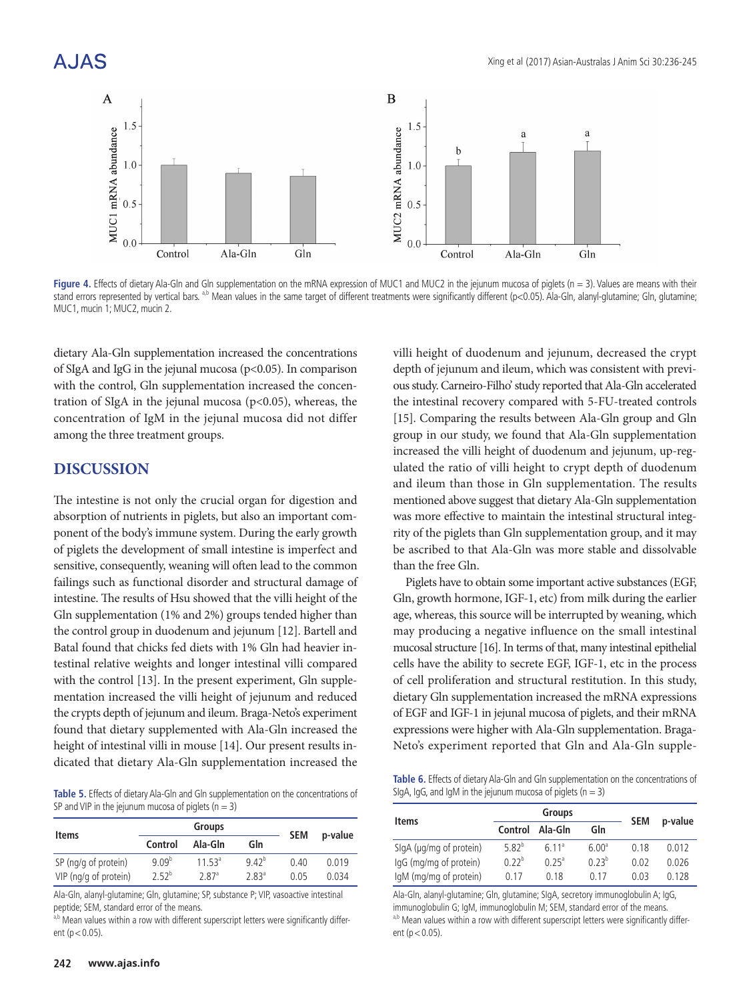

Figure 4. Effects of dietary Ala-Gln and Gln supplementation on the mRNA expression of MUC1 and MUC2 in the jejunum mucosa of piglets (n = 3). Values are means with their stand errors represented by vertical bars.<sup>a,b</sup> Mean values in the same target of different treatments were significantly different (p<0.05). Ala-Gln, alanyl-glutamine; Gln, glutamine; MUC1, mucin 1; MUC2, mucin 2.

dietary Ala-Gln supplementation increased the concentrations of SIgA and IgG in the jejunal mucosa (p<0.05). In comparison with the control, Gln supplementation increased the concentration of SIgA in the jejunal mucosa ( $p$ <0.05), whereas, the concentration of IgM in the jejunal mucosa did not differ among the three treatment groups.

## **DISCUSSION**

The intestine is not only the crucial organ for digestion and absorption of nutrients in piglets, but also an important component of the body's immune system. During the early growth of piglets the development of small intestine is imperfect and sensitive, consequently, weaning will often lead to the common failings such as functional disorder and structural damage of intestine. The results of Hsu showed that the villi height of the Gln supplementation (1% and 2%) groups tended higher than the control group in duodenum and jejunum [12]. Bartell and Batal found that chicks fed diets with 1% Gln had heavier intestinal relative weights and longer intestinal villi compared with the control [13]. In the present experiment, Gln supplementation increased the villi height of jejunum and reduced the crypts depth of jejunum and ileum. Braga-Neto's experiment found that dietary supplemented with Ala-Gln increased the height of intestinal villi in mouse [14]. Our present results indicated that dietary Ala-Gln supplementation increased the

**Table 5.** Effects of dietary Ala-Gln and Gln supplementation on the concentrations of SP and VIP in the jejunum mucosa of piglets ( $n = 3$ )

| <b>Items</b>          |            | <b>Groups</b>       | <b>SEM</b> |      |         |
|-----------------------|------------|---------------------|------------|------|---------|
|                       | Control    | Ala-Gln             | Gln        |      | p-value |
| SP (ng/g of protein)  | $9.09^{b}$ | 11.53 <sup>a</sup>  | $9.42^{b}$ | 0.40 | 0.019   |
| VIP (ng/g of protein) | $2.52^{b}$ | $2.87$ <sup>a</sup> | $2.83^{a}$ | 0.05 | 0.034   |

Ala-Gln, alanyl-glutamine; Gln, glutamine; SP, substance P; VIP, vasoactive intestinal peptide; SEM, standard error of the means.

a,b Mean values within a row with different superscript letters were significantly different ( $p < 0.05$ ).

villi height of duodenum and jejunum, decreased the crypt depth of jejunum and ileum, which was consistent with previous study. Carneiro-Filho' study reported that Ala-Gln accelerated the intestinal recovery compared with 5-FU-treated controls [15]. Comparing the results between Ala-Gln group and Gln group in our study, we found that Ala-Gln supplementation increased the villi height of duodenum and jejunum, up-regulated the ratio of villi height to crypt depth of duodenum and ileum than those in Gln supplementation. The results mentioned above suggest that dietary Ala-Gln supplementation was more effective to maintain the intestinal structural integrity of the piglets than Gln supplementation group, and it may be ascribed to that Ala-Gln was more stable and dissolvable than the free Gln.

Piglets have to obtain some important active substances (EGF, Gln, growth hormone, IGF-1, etc) from milk during the earlier age, whereas, this source will be interrupted by weaning, which may producing a negative influence on the small intestinal mucosal structure [16]. In terms of that, many intestinal epithelial cells have the ability to secrete EGF, IGF-1, etc in the process of cell proliferation and structural restitution. In this study, dietary Gln supplementation increased the mRNA expressions of EGF and IGF-1 in jejunal mucosa of piglets, and their mRNA expressions were higher with Ala-Gln supplementation. Braga-Neto's experiment reported that Gln and Ala-Gln supple-

**Table 6.** Effects of dietary Ala-Gln and Gln supplementation on the concentrations of SIgA, IgG, and IgM in the jejunum mucosa of piglets ( $n = 3$ )

| <b>Items</b>            |            | <b>Groups</b>       | <b>SEM</b>        | p-value |       |
|-------------------------|------------|---------------------|-------------------|---------|-------|
|                         | Control    | Ala-Gln             | Gln               |         |       |
| SlgA (µg/mg of protein) | $5.82^{b}$ | 6.11 <sup>a</sup>   | 6.00 <sup>a</sup> | 0.18    | 0.012 |
| lgG (mg/mg of protein)  | $0.22^{b}$ | $0.25$ <sup>a</sup> | $0.23^{b}$        | 0.02    | 0.026 |
| IqM (mg/mg of protein)  | 0.17       | 0.18                | 0 17              | 0.03    | 0.128 |

Ala-Gln, alanyl-glutamine; Gln, glutamine; SIgA, secretory immunoglobulin A; IgG, immunoglobulin G; IgM, immunoglobulin M; SEM, standard error of the means. a,b Mean values within a row with different superscript letters were significantly different ( $p < 0.05$ ).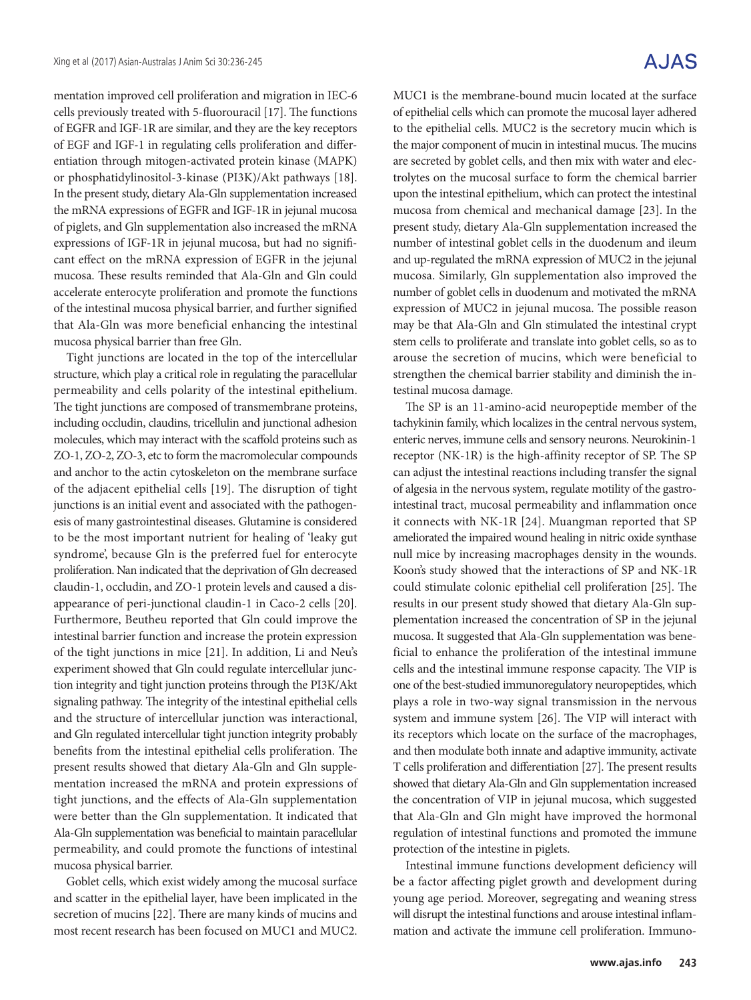mentation improved cell proliferation and migration in IEC-6 cells previously treated with 5-fluorouracil [17]. The functions of EGFR and IGF-1R are similar, and they are the key receptors of EGF and IGF-1 in regulating cells proliferation and differentiation through mitogen-activated protein kinase (MAPK) or phosphatidylinositol-3-kinase (PI3K)/Akt pathways [18]. In the present study, dietary Ala-Gln supplementation increased the mRNA expressions of EGFR and IGF-1R in jejunal mucosa of piglets, and Gln supplementation also increased the mRNA expressions of IGF-1R in jejunal mucosa, but had no significant effect on the mRNA expression of EGFR in the jejunal mucosa. These results reminded that Ala-Gln and Gln could accelerate enterocyte proliferation and promote the functions of the intestinal mucosa physical barrier, and further signified that Ala-Gln was more beneficial enhancing the intestinal mucosa physical barrier than free Gln.

Tight junctions are located in the top of the intercellular structure, which play a critical role in regulating the paracellular permeability and cells polarity of the intestinal epithelium. The tight junctions are composed of transmembrane proteins, including occludin, claudins, tricellulin and junctional adhesion molecules, which may interact with the scaffold proteins such as ZO-1, ZO-2, ZO-3, etc to form the macromolecular compounds and anchor to the actin cytoskeleton on the membrane surface of the adjacent epithelial cells [19]. The disruption of tight junctions is an initial event and associated with the pathogenesis of many gastrointestinal diseases. Glutamine is considered to be the most important nutrient for healing of 'leaky gut syndrome', because Gln is the preferred fuel for enterocyte proliferation. Nan indicated that the deprivation of Gln decreased claudin-1, occludin, and ZO-1 protein levels and caused a disappearance of peri-junctional claudin-1 in Caco-2 cells [20]. Furthermore, Beutheu reported that Gln could improve the intestinal barrier function and increase the protein expression of the tight junctions in mice [21]. In addition, Li and Neu's experiment showed that Gln could regulate intercellular junction integrity and tight junction proteins through the PI3K/Akt signaling pathway. The integrity of the intestinal epithelial cells and the structure of intercellular junction was interactional, and Gln regulated intercellular tight junction integrity probably benefits from the intestinal epithelial cells proliferation. The present results showed that dietary Ala-Gln and Gln supplementation increased the mRNA and protein expressions of tight junctions, and the effects of Ala-Gln supplementation were better than the Gln supplementation. It indicated that Ala-Gln supplementation was beneficial to maintain paracellular permeability, and could promote the functions of intestinal mucosa physical barrier.

Goblet cells, which exist widely among the mucosal surface and scatter in the epithelial layer, have been implicated in the secretion of mucins [22]. There are many kinds of mucins and most recent research has been focused on MUC1 and MUC2.

# A.JAS

MUC1 is the membrane-bound mucin located at the surface of epithelial cells which can promote the mucosal layer adhered to the epithelial cells. MUC2 is the secretory mucin which is the major component of mucin in intestinal mucus. The mucins are secreted by goblet cells, and then mix with water and electrolytes on the mucosal surface to form the chemical barrier upon the intestinal epithelium, which can protect the intestinal mucosa from chemical and mechanical damage [23]. In the present study, dietary Ala-Gln supplementation increased the number of intestinal goblet cells in the duodenum and ileum and up-regulated the mRNA expression of MUC2 in the jejunal mucosa. Similarly, Gln supplementation also improved the number of goblet cells in duodenum and motivated the mRNA expression of MUC2 in jejunal mucosa. The possible reason may be that Ala-Gln and Gln stimulated the intestinal crypt stem cells to proliferate and translate into goblet cells, so as to arouse the secretion of mucins, which were beneficial to strengthen the chemical barrier stability and diminish the intestinal mucosa damage.

The SP is an 11-amino-acid neuropeptide member of the tachykinin family, which localizes in the central nervous system, enteric nerves, immune cells and sensory neurons. Neurokinin-1 receptor (NK-1R) is the high-affinity receptor of SP. The SP can adjust the intestinal reactions including transfer the signal of algesia in the nervous system, regulate motility of the gastrointestinal tract, mucosal permeability and inflammation once it connects with NK-1R [24]. Muangman reported that SP ameliorated the impaired wound healing in nitric oxide synthase null mice by increasing macrophages density in the wounds. Koon's study showed that the interactions of SP and NK-1R could stimulate colonic epithelial cell proliferation [25]. The results in our present study showed that dietary Ala-Gln supplementation increased the concentration of SP in the jejunal mucosa. It suggested that Ala-Gln supplementation was beneficial to enhance the proliferation of the intestinal immune cells and the intestinal immune response capacity. The VIP is one of the best-studied immunoregulatory neuropeptides, which plays a role in two-way signal transmission in the nervous system and immune system [26]. The VIP will interact with its receptors which locate on the surface of the macrophages, and then modulate both innate and adaptive immunity, activate T cells proliferation and differentiation [27]. The present results showed that dietary Ala-Gln and Gln supplementation increased the concentration of VIP in jejunal mucosa, which suggested that Ala-Gln and Gln might have improved the hormonal regulation of intestinal functions and promoted the immune protection of the intestine in piglets.

Intestinal immune functions development deficiency will be a factor affecting piglet growth and development during young age period. Moreover, segregating and weaning stress will disrupt the intestinal functions and arouse intestinal inflammation and activate the immune cell proliferation. Immuno-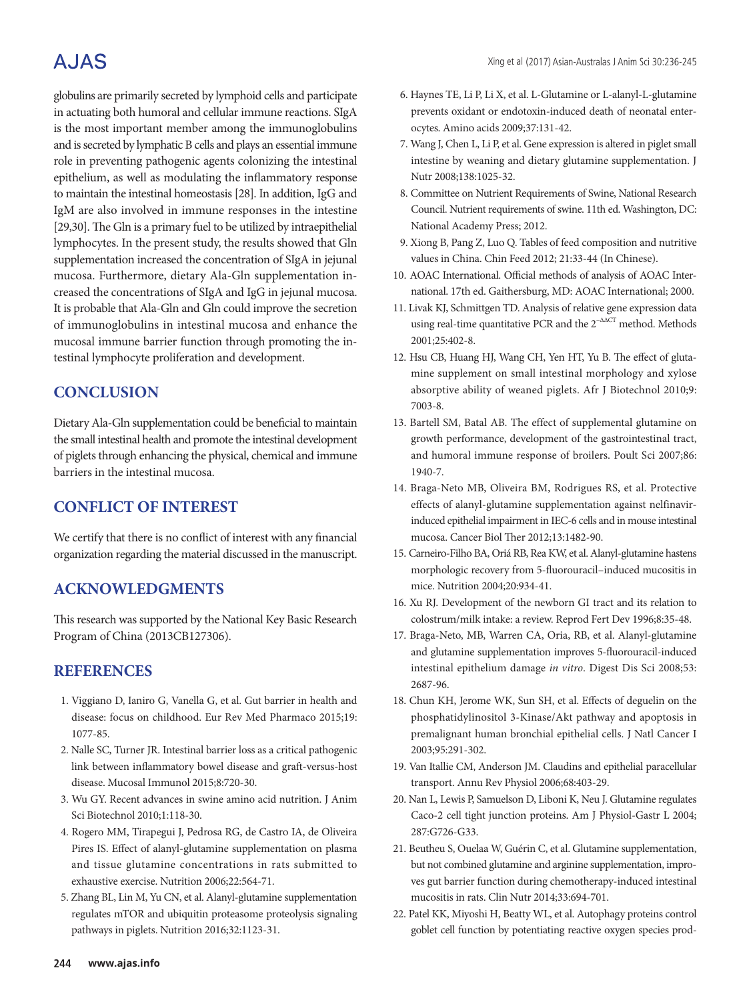# A.JAS

globulins are primarily secreted by lymphoid cells and participate in actuating both humoral and cellular immune reactions. SIgA is the most important member among the immunoglobulins and is secreted by lymphatic B cells and plays an essential immune role in preventing pathogenic agents colonizing the intestinal epithelium, as well as modulating the inflammatory response to maintain the intestinal homeostasis [28]. In addition, IgG and IgM are also involved in immune responses in the intestine [29,30]. The Gln is a primary fuel to be utilized by intraepithelial lymphocytes. In the present study, the results showed that Gln supplementation increased the concentration of SIgA in jejunal mucosa. Furthermore, dietary Ala-Gln supplementation increased the concentrations of SIgA and IgG in jejunal mucosa. It is probable that Ala-Gln and Gln could improve the secretion of immunoglobulins in intestinal mucosa and enhance the mucosal immune barrier function through promoting the intestinal lymphocyte proliferation and development.

# **CONCLUSION**

Dietary Ala-Gln supplementation could be beneficial to maintain the small intestinal health and promote the intestinal development of piglets through enhancing the physical, chemical and immune barriers in the intestinal mucosa.

# **CONFLICT OF INTEREST**

We certify that there is no conflict of interest with any financial organization regarding the material discussed in the manuscript.

# **ACKNOWLEDGMENTS**

This research was supported by the National Key Basic Research Program of China (2013CB127306).

# **REFERENCES**

- 1. Viggiano D, Ianiro G, Vanella G, et al. Gut barrier in health and disease: focus on childhood. Eur Rev Med Pharmaco 2015;19: 1077-85.
- 2. Nalle SC, Turner JR. Intestinal barrier loss as a critical pathogenic link between inflammatory bowel disease and graft-versus-host disease. Mucosal Immunol 2015;8:720-30.
- 3. Wu GY. Recent advances in swine amino acid nutrition. J Anim Sci Biotechnol 2010;1:118-30.
- 4. Rogero MM, Tirapegui J, Pedrosa RG, de Castro IA, de Oliveira Pires IS. Effect of alanyl-glutamine supplementation on plasma and tissue glutamine concentrations in rats submitted to exhaustive exercise. Nutrition 2006;22:564-71.
- 5. Zhang BL, Lin M, Yu CN, et al. Alanyl-glutamine supplementation regulates mTOR and ubiquitin proteasome proteolysis signaling pathways in piglets. Nutrition 2016;32:1123-31.
- 6. Haynes TE, Li P, Li X, et al. L-Glutamine or L-alanyl-L-glutamine prevents oxidant or endotoxin-induced death of neonatal enterocytes. Amino acids 2009;37:131-42.
- 7. Wang J, Chen L, Li P, et al. Gene expression is altered in piglet small intestine by weaning and dietary glutamine supplementation. J Nutr 2008;138:1025-32.
- 8. Committee on Nutrient Requirements of Swine, National Research Council. Nutrient requirements of swine. 11th ed. Washington, DC: National Academy Press; 2012.
- 9. Xiong B, Pang Z, Luo Q. Tables of feed composition and nutritive values in China. Chin Feed 2012; 21:33-44 (In Chinese).
- 10. AOAC International. Official methods of analysis of AOAC International. 17th ed. Gaithersburg, MD: AOAC International; 2000.
- 11. Livak KJ, Schmittgen TD. Analysis of relative gene expression data using real-time quantitative PCR and the  $2^{-\Delta\Delta CT}$  method. Methods 2001;25:402-8.
- 12. Hsu CB, Huang HJ, Wang CH, Yen HT, Yu B. The effect of glutamine supplement on small intestinal morphology and xylose absorptive ability of weaned piglets. Afr J Biotechnol 2010;9: 7003-8.
- 13. Bartell SM, Batal AB. The effect of supplemental glutamine on growth performance, development of the gastrointestinal tract, and humoral immune response of broilers. Poult Sci 2007;86: 1940-7.
- 14. Braga-Neto MB, Oliveira BM, Rodrigues RS, et al. Protective effects of alanyl-glutamine supplementation against nelfinavirinduced epithelial impairment in IEC-6 cells and in mouse intestinal mucosa. Cancer Biol Ther 2012;13:1482-90.
- 15. Carneiro-Filho BA, Oriá RB, Rea KW, et al. Alanyl-glutamine hastens morphologic recovery from 5-fluorouracil–induced mucositis in mice. Nutrition 2004;20:934-41.
- 16. Xu RJ. Development of the newborn GI tract and its relation to colostrum/milk intake: a review. Reprod Fert Dev 1996;8:35-48.
- 17. Braga-Neto, MB, Warren CA, Oria, RB, et al. Alanyl-glutamine and glutamine supplementation improves 5-fluorouracil-induced intestinal epithelium damage *in vitro*. Digest Dis Sci 2008;53: 2687-96.
- 18. Chun KH, Jerome WK, Sun SH, et al. Effects of deguelin on the phosphatidylinositol 3-Kinase/Akt pathway and apoptosis in premalignant human bronchial epithelial cells. J Natl Cancer I 2003;95:291-302.
- 19. Van Itallie CM, Anderson JM. Claudins and epithelial paracellular transport. Annu Rev Physiol 2006;68:403-29.
- 20. Nan L, Lewis P, Samuelson D, Liboni K, Neu J. Glutamine regulates Caco-2 cell tight junction proteins. Am J Physiol-Gastr L 2004; 287:G726-G33.
- 21. Beutheu S, Ouelaa W, Guérin C, et al. Glutamine supplementation, but not combined glutamine and arginine supplementation, improves gut barrier function during chemotherapy-induced intestinal mucositis in rats. Clin Nutr 2014;33:694-701.
- 22. Patel KK, Miyoshi H, Beatty WL, et al. Autophagy proteins control goblet cell function by potentiating reactive oxygen species prod-